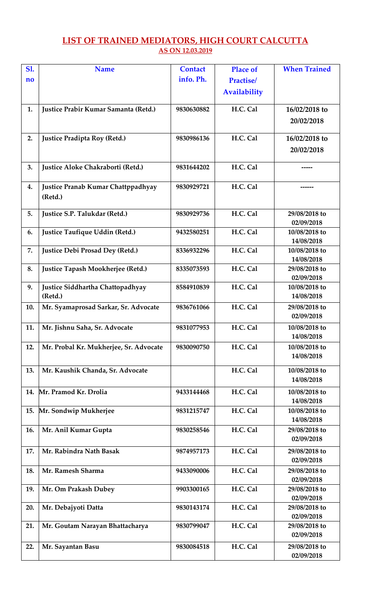## **LIST OF TRAINED MEDIATORS, HIGH COURT CALCUTTA AS ON 12.03.2019**

| <b>S1.</b>             | <b>Name</b>                                   | <b>Contact</b> | <b>Place of</b>     | <b>When Trained</b>         |
|------------------------|-----------------------------------------------|----------------|---------------------|-----------------------------|
| $\mathbf{n}\mathbf{o}$ |                                               | info. Ph.      | <b>Practise/</b>    |                             |
|                        |                                               |                | <b>Availability</b> |                             |
|                        |                                               |                |                     |                             |
| 1.                     | Justice Prabir Kumar Samanta (Retd.)          | 9830630882     | H.C. Cal            | 16/02/2018 to               |
|                        |                                               |                |                     | 20/02/2018                  |
| 2.                     | Justice Pradipta Roy (Retd.)                  | 9830986136     | H.C. Cal            | 16/02/2018 to               |
|                        |                                               |                |                     | 20/02/2018                  |
| 3.                     | Justice Aloke Chakraborti (Retd.)             | 9831644202     | H.C. Cal            |                             |
| 4.                     | Justice Pranab Kumar Chattppadhyay<br>(Retd.) | 9830929721     | H.C. Cal            |                             |
| 5.                     | Justice S.P. Talukdar (Retd.)                 | 9830929736     | H.C. Cal            | 29/08/2018 to<br>02/09/2018 |
| 6.                     | Justice Taufique Uddin (Retd.)                | 9432580251     | H.C. Cal            | 10/08/2018 to<br>14/08/2018 |
| 7.                     | Justice Debi Prosad Dey (Retd.)               | 8336932296     | H.C. Cal            | 10/08/2018 to               |
| 8.                     | Justice Tapash Mookherjee (Retd.)             | 8335073593     | H.C. Cal            | 14/08/2018<br>29/08/2018 to |
|                        |                                               |                |                     | 02/09/2018                  |
| 9.                     | Justice Siddhartha Chattopadhyay              | 8584910839     | H.C. Cal            | 10/08/2018 to               |
|                        | (Retd.)                                       |                |                     | 14/08/2018                  |
| 10.                    | Mr. Syamaprosad Sarkar, Sr. Advocate          | 9836761066     | H.C. Cal            | 29/08/2018 to<br>02/09/2018 |
| 11.                    | Mr. Jishnu Saha, Sr. Advocate                 | 9831077953     | H.C. Cal            | 10/08/2018 to               |
|                        |                                               |                |                     | 14/08/2018                  |
| 12.                    | Mr. Probal Kr. Mukherjee, Sr. Advocate        | 9830090750     | H.C. Cal            | 10/08/2018 to<br>14/08/2018 |
| 13.                    | Mr. Kaushik Chanda, Sr. Advocate              |                | H.C. Cal            | 10/08/2018 to               |
|                        |                                               |                |                     | 14/08/2018                  |
|                        | 14. Mr. Pramod Kr. Drolia                     | 9433144468     | H.C. Cal            | 10/08/2018 to               |
|                        |                                               |                |                     | 14/08/2018                  |
|                        | 15. Mr. Sondwip Mukherjee                     | 9831215747     | H.C. Cal            | 10/08/2018 to<br>14/08/2018 |
| 16.                    | Mr. Anil Kumar Gupta                          | 9830258546     | H.C. Cal            | 29/08/2018 to               |
|                        |                                               |                |                     | 02/09/2018                  |
| 17.                    | Mr. Rabindra Nath Basak                       | 9874957173     | H.C. Cal            | 29/08/2018 to               |
|                        |                                               |                |                     | 02/09/2018                  |
| 18.                    | Mr. Ramesh Sharma                             | 9433090006     | H.C. Cal            | 29/08/2018 to               |
|                        |                                               |                |                     | 02/09/2018                  |
| 19.                    | Mr. Om Prakash Dubey                          | 9903300165     | H.C. Cal            | 29/08/2018 to<br>02/09/2018 |
| 20.                    | Mr. Debajyoti Datta                           | 9830143174     | H.C. Cal            | 29/08/2018 to               |
|                        |                                               |                |                     | 02/09/2018                  |
| 21.                    | Mr. Goutam Narayan Bhattacharya               | 9830799047     | H.C. Cal            | 29/08/2018 to               |
|                        |                                               |                |                     | 02/09/2018                  |
| 22.                    | Mr. Sayantan Basu                             | 9830084518     | H.C. Cal            | 29/08/2018 to               |
|                        |                                               |                |                     | 02/09/2018                  |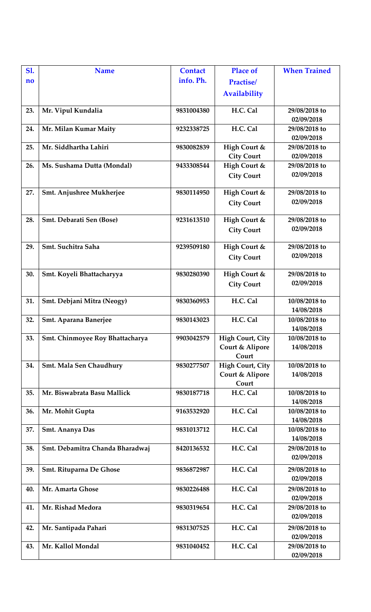| <b>S1.</b> | <b>Name</b>                            | <b>Contact</b> | <b>Place of</b>         | <b>When Trained</b>         |
|------------|----------------------------------------|----------------|-------------------------|-----------------------------|
| no         |                                        | info. Ph.      | <b>Practise/</b>        |                             |
|            |                                        |                | <b>Availability</b>     |                             |
|            |                                        |                |                         |                             |
| 23.        | Mr. Vipul Kundalia                     | 9831004380     | H.C. Cal                | 29/08/2018 to<br>02/09/2018 |
| 24.        |                                        | 9232338725     | H.C. Cal                | 29/08/2018 to               |
|            | Mr. Milan Kumar Maity                  |                |                         | 02/09/2018                  |
| 25.        | Mr. Siddhartha Lahiri                  | 9830082839     | High Court &            | 29/08/2018 to               |
|            |                                        |                | <b>City Court</b>       | 02/09/2018                  |
| 26.        | Ms. Sushama Dutta (Mondal)             | 9433308544     | High Court &            | 29/08/2018 to               |
|            |                                        |                | <b>City Court</b>       | 02/09/2018                  |
| 27.        | Smt. Anjushree Mukherjee               | 9830114950     | High Court &            | 29/08/2018 to               |
|            |                                        |                | <b>City Court</b>       | 02/09/2018                  |
|            |                                        |                |                         |                             |
| 28.        | Smt. Debarati Sen (Bose)               | 9231613510     | High Court &            | 29/08/2018 to               |
|            |                                        |                | <b>City Court</b>       | 02/09/2018                  |
| 29.        | Smt. Suchitra Saha                     | 9239509180     | High Court &            | 29/08/2018 to               |
|            |                                        |                | <b>City Court</b>       | 02/09/2018                  |
|            |                                        |                |                         |                             |
| 30.        | Smt. Koyeli Bhattacharyya              | 9830280390     | High Court &            | 29/08/2018 to               |
|            |                                        |                | <b>City Court</b>       | 02/09/2018                  |
|            |                                        |                |                         |                             |
| 31.        | Smt. Debjani Mitra (Neogy)             | 9830360953     | H.C. Cal                | 10/08/2018 to               |
|            |                                        |                |                         | 14/08/2018                  |
| 32.        | Smt. Aparana Banerjee                  | 9830143023     | H.C. Cal                | 10/08/2018 to<br>14/08/2018 |
| 33.        | <b>Smt. Chinmoyee Roy Bhattacharya</b> | 9903042579     | <b>High Court, City</b> | 10/08/2018 to               |
|            |                                        |                | Court & Alipore         | 14/08/2018                  |
|            |                                        |                | Court                   |                             |
| 34.        | <b>Smt. Mala Sen Chaudhury</b>         | 9830277507     | <b>High Court, City</b> | 10/08/2018 to               |
|            |                                        |                | Court & Alipore         | 14/08/2018                  |
|            |                                        |                | Court                   |                             |
| 35.        | Mr. Biswabrata Basu Mallick            | 9830187718     | H.C. Cal                | 10/08/2018 to               |
|            |                                        |                |                         | 14/08/2018                  |
| 36.        | Mr. Mohit Gupta                        | 9163532920     | H.C. Cal                | 10/08/2018 to<br>14/08/2018 |
| 37.        | Smt. Ananya Das                        | 9831013712     | H.C. Cal                | 10/08/2018 to               |
|            |                                        |                |                         | 14/08/2018                  |
| 38.        | Smt. Debamitra Chanda Bharadwaj        | 8420136532     | H.C. Cal                | 29/08/2018 to               |
|            |                                        |                |                         | 02/09/2018                  |
| 39.        | <b>Smt. Rituparna De Ghose</b>         | 9836872987     | H.C. Cal                | 29/08/2018 to               |
|            |                                        |                |                         | 02/09/2018                  |
| 40.        | Mr. Amarta Ghose                       | 9830226488     | H.C. Cal                | 29/08/2018 to               |
|            |                                        |                |                         | 02/09/2018                  |
| 41.        | Mr. Rishad Medora                      | 9830319654     | H.C. Cal                | 29/08/2018 to               |
|            |                                        |                |                         | 02/09/2018                  |
| 42.        | Mr. Santipada Pahari                   | 9831307525     | H.C. Cal                | 29/08/2018 to               |
|            |                                        |                |                         | 02/09/2018                  |
| 43.        | Mr. Kallol Mondal                      | 9831040452     | H.C. Cal                | 29/08/2018 to               |
|            |                                        |                |                         | 02/09/2018                  |